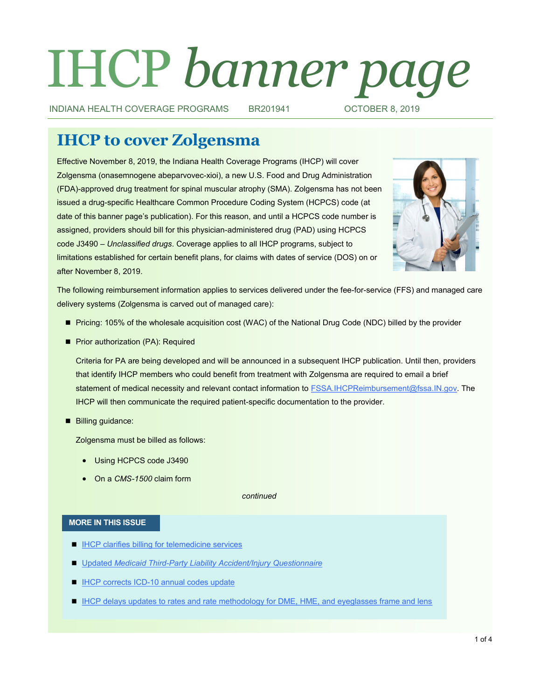# IHCP *banner page*

INDIANA HEALTH COVERAGE PROGRAMS BR201941 OCTOBER 8, 2019

# **IHCP to cover Zolgensma**

Effective November 8, 2019, the Indiana Health Coverage Programs (IHCP) will cover Zolgensma (onasemnogene abeparvovec-xioi), a new U.S. Food and Drug Administration (FDA)-approved drug treatment for spinal muscular atrophy (SMA). Zolgensma has not been issued a drug-specific Healthcare Common Procedure Coding System (HCPCS) code (at date of this banner page's publication). For this reason, and until a HCPCS code number is assigned, providers should bill for this physician-administered drug (PAD) using HCPCS code J3490 – *Unclassified drugs*. Coverage applies to all IHCP programs, subject to limitations established for certain benefit plans, for claims with dates of service (DOS) on or after November 8, 2019.



The following reimbursement information applies to services delivered under the fee-for-service (FFS) and managed care delivery systems (Zolgensma is carved out of managed care):

- Pricing: 105% of the wholesale acquisition cost (WAC) of the National Drug Code (NDC) billed by the provider
- **Prior authorization (PA): Required**

Criteria for PA are being developed and will be announced in a subsequent IHCP publication. Until then, providers that identify IHCP members who could benefit from treatment with Zolgensma are required to email a brief statement of medical necessity and relevant contact information to **FSSA.IHCPReimbursement@fssa.IN.gov**. The IHCP will then communicate the required patient-specific documentation to the provider.

Billing quidance:

Zolgensma must be billed as follows:

- Using HCPCS code J3490
- On a *CMS-1500* claim form

*continued*

#### **MORE IN THIS ISSUE**

- **[IHCP clarifies billing for telemedicine services](#page-1-0)**
- Updated *Medicaid Third-[Party Liability Accident/Injury Questionnaire](#page-2-0)*
- **IHCP corrects ICD-[10 annual codes update](#page-2-0)**
- **[IHCP delays updates to rates and rate methodology for DME, HME, and eyeglasses frame and lens](#page-3-0)**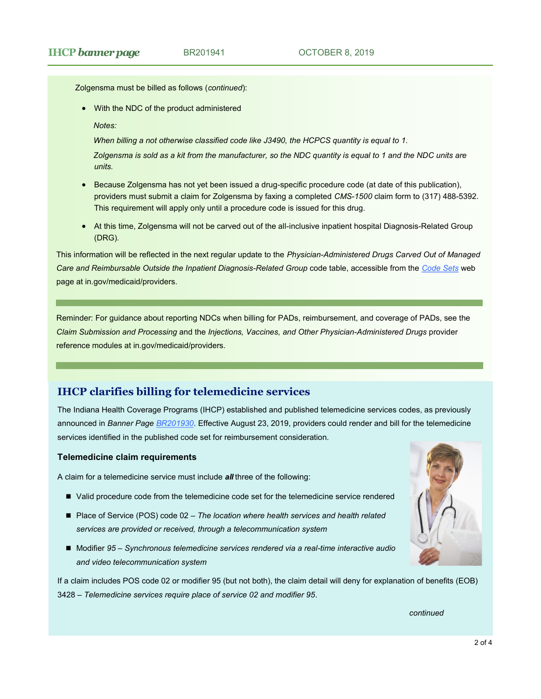# <span id="page-1-0"></span>**IHCP banner page** BR201941 **DERIVER 8, 2019**

Zolgensma must be billed as follows (*continued*):

With the NDC of the product administered

*Notes:* 

*When billing a not otherwise classified code like J3490, the HCPCS quantity is equal to 1.*

*Zolgensma is sold as a kit from the manufacturer, so the NDC quantity is equal to 1 and the NDC units are units.* 

- **Because Zolgensma has not yet been issued a drug-specific procedure code (at date of this publication),** providers must submit a claim for Zolgensma by faxing a completed *CMS-1500* claim form to (317) 488-5392. This requirement will apply only until a procedure code is issued for this drug.
- At this time, Zolgensma will not be carved out of the all-inclusive inpatient hospital Diagnosis-Related Group (DRG).

This information will be reflected in the next regular update to the *Physician-Administered Drugs Carved Out of Managed Care and Reimbursable Outside the Inpatient Diagnosis-Related Group* code table, accessible from the *[Code Sets](https://www.in.gov/medicaid/providers/693.htm)* web page at in.gov/medicaid/providers.

Reminder: For guidance about reporting NDCs when billing for PADs, reimbursement, and coverage of PADs, see the *Claim Submission and Processing* and the *Injections, Vaccines, and Other Physician-Administered Drugs* provider reference modules at in.gov/medicaid/providers.

# **IHCP clarifies billing for telemedicine services**

The Indiana Health Coverage Programs (IHCP) established and published telemedicine services codes, as previously announced in *Banner Page [BR201930](http://provider.indianamedicaid.com/ihcp/Banners/BR201930.pdf)*. Effective August 23, 2019, providers could render and bill for the telemedicine services identified in the published code set for reimbursement consideration.

#### **Telemedicine claim requirements**

A claim for a telemedicine service must include *all* three of the following:

- Valid procedure code from the telemedicine code set for the telemedicine service rendered
- Place of Service (POS) code 02 *The location where health services and health related services are provided or received, through a telecommunication system*
- Modifier 95 *Synchronous telemedicine services rendered via a real-time interactive audio and video telecommunication system*

If a claim includes POS code 02 or modifier 95 (but not both), the claim detail will deny for explanation of benefits (EOB) 3428 – *Telemedicine services require place of service 02 and modifier 95*.

*continued*

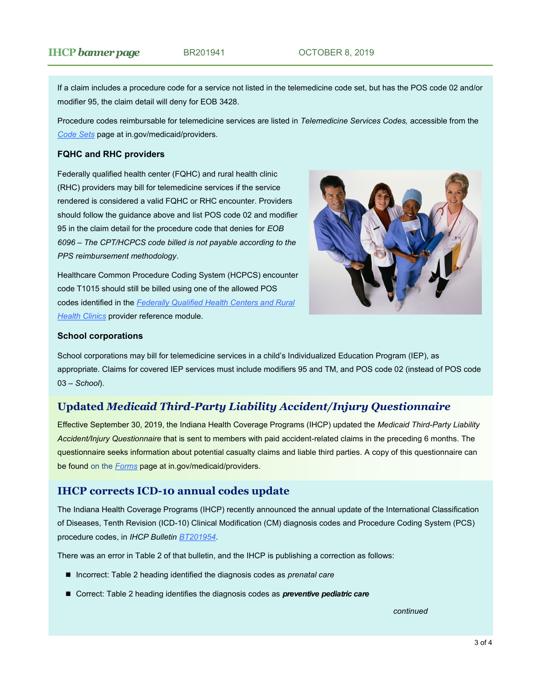<span id="page-2-0"></span>If a claim includes a procedure code for a service not listed in the telemedicine code set, but has the POS code 02 and/or modifier 95, the claim detail will deny for EOB 3428.

Procedure codes reimbursable for telemedicine services are listed in *Telemedicine Services Codes,* accessible from the *[Code Sets](https://www.in.gov/medicaid/providers/693.htm)* page at in.gov/medicaid/providers.

#### **FQHC and RHC providers**

Federally qualified health center (FQHC) and rural health clinic (RHC) providers may bill for telemedicine services if the service rendered is considered a valid FQHC or RHC encounter. Providers should follow the guidance above and list POS code 02 and modifier 95 in the claim detail for the procedure code that denies for *EOB 6096* – *The CPT/HCPCS code billed is not payable according to the PPS reimbursement methodology*.

Healthcare Common Procedure Coding System (HCPCS) encounter code T1015 should still be billed using one of the allowed POS codes identified in the *[Federally Qualified Health Centers and Rural](https://www.in.gov/medicaid/files/federally%20qualified%20health%20centers%20and%20rural%20health%20clinics.pdf)  [Health Clinics](https://www.in.gov/medicaid/files/federally%20qualified%20health%20centers%20and%20rural%20health%20clinics.pdf)* provider reference module.



#### **School corporations**

School corporations may bill for telemedicine services in a child's Individualized Education Program (IEP), as appropriate. Claims for covered IEP services must include modifiers 95 and TM, and POS code 02 (instead of POS code 03 – *School*).

# **Updated** *Medicaid Third-Party Liability Accident/Injury Questionnaire*

Effective September 30, 2019, the Indiana Health Coverage Programs (IHCP) updated the *Medicaid Third-Party Liability Accident/Injury Questionnaire* that is sent to members with paid accident-related claims in the preceding 6 months. The questionnaire seeks information about potential casualty claims and liable third parties. A copy of this questionnaire can be found on the *[Forms](https://www.in.gov/medicaid/providers/470.htm)* page at in.gov/medicaid/providers.

# **IHCP corrects ICD-10 annual codes update**

The Indiana Health Coverage Programs (IHCP) recently announced the annual update of the International Classification of Diseases, Tenth Revision (ICD-10) Clinical Modification (CM) diagnosis codes and Procedure Coding System (PCS) procedure codes, in *IHCP Bulletin [BT201954](http://provider.indianamedicaid.com/ihcp/Bulletins/BT201954.pdf)*.

There was an error in Table 2 of that bulletin, and the IHCP is publishing a correction as follows:

- Incorrect: Table 2 heading identified the diagnosis codes as *prenatal care*
- Correct: Table 2 heading identifies the diagnosis codes as **preventive pediatric care**

*continued*